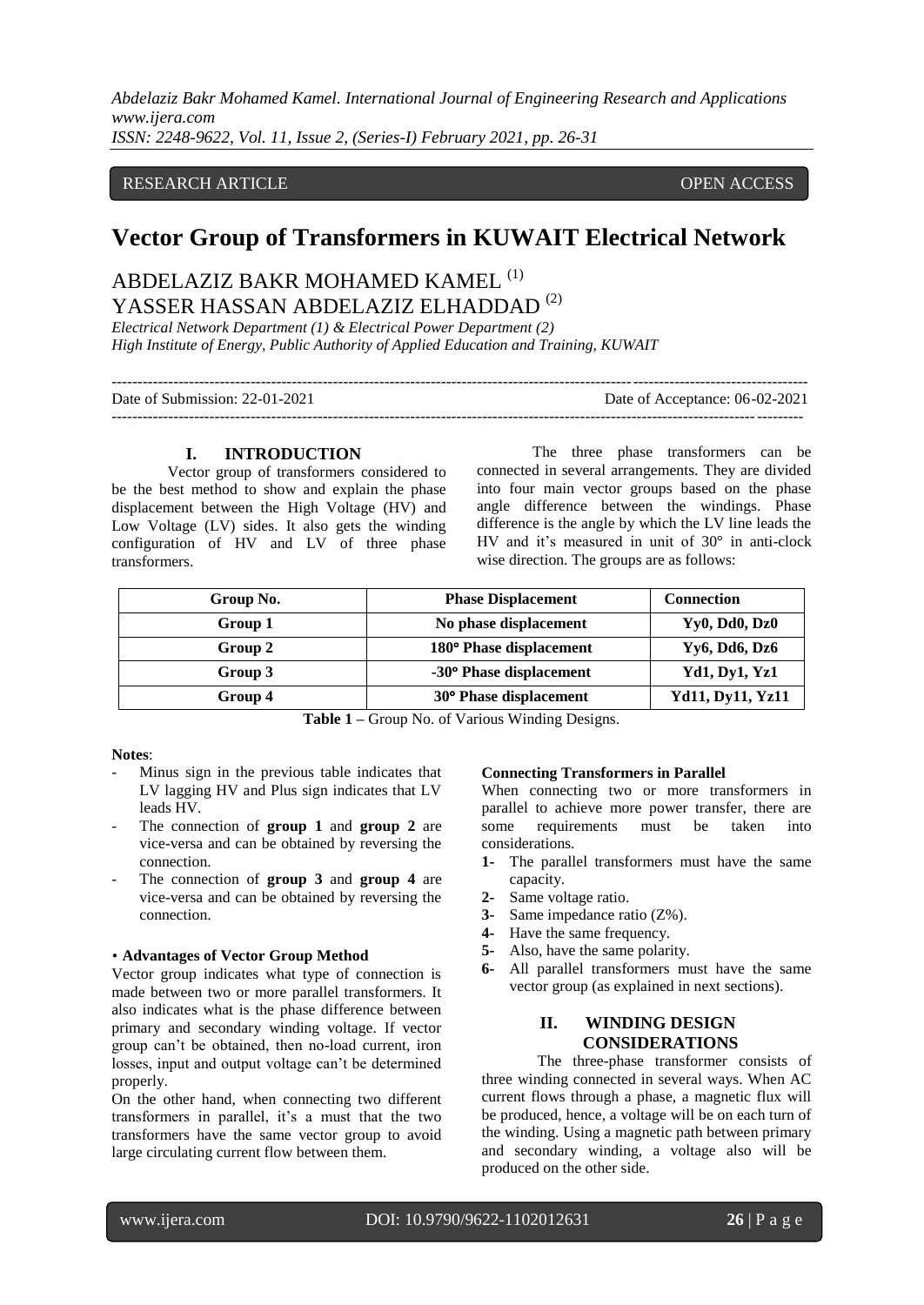## RESEARCH ARTICLE **CONSERVERS** OPEN ACCESS

# **Vector Group of Transformers in KUWAIT Electrical Network**

## ABDELAZIZ BAKR MOHAMED KAMEL (1) YASSER HASSAN ABDELAZIZ ELHADDAD<sup>(2)</sup>

*Electrical Network Department (1) & Electrical Power Department (2) High Institute of Energy, Public Authority of Applied Education and Training, KUWAIT*

| Date of Submission: 22-01-2021 | Date of Acceptance: 06-02-2021 |
|--------------------------------|--------------------------------|
|                                |                                |

## **I. INTRODUCTION**

Vector group of transformers considered to be the best method to show and explain the phase displacement between the High Voltage (HV) and Low Voltage (LV) sides. It also gets the winding configuration of HV and LV of three phase transformers.

The three phase transformers can be connected in several arrangements. They are divided into four main vector groups based on the phase angle difference between the windings. Phase difference is the angle by which the LV line leads the HV and it's measured in unit of 30° in anti-clock wise direction. The groups are as follows:

| Group No. | <b>Phase Displacement</b> | <b>Connection</b>       |
|-----------|---------------------------|-------------------------|
| Group 1   | No phase displacement     | Yy0, Dd0, Dz0           |
| Group 2   | 180° Phase displacement   | Yy6, Dd6, Dz6           |
| Group 3   | -30° Phase displacement   | <b>Yd1, Dy1, Yz1</b>    |
| Group 4   | 30° Phase displacement    | <b>Yd11, Dy11, Yz11</b> |

**Table 1 –** Group No. of Various Winding Designs.

#### **Notes**:

- Minus sign in the previous table indicates that LV lagging HV and Plus sign indicates that LV leads HV.
- The connection of **group 1** and **group 2** are vice-versa and can be obtained by reversing the connection.
- The connection of **group 3** and **group 4** are vice-versa and can be obtained by reversing the connection.

#### • **Advantages of Vector Group Method**

Vector group indicates what type of connection is made between two or more parallel transformers. It also indicates what is the phase difference between primary and secondary winding voltage. If vector group can't be obtained, then no-load current, iron losses, input and output voltage can't be determined properly.

On the other hand, when connecting two different transformers in parallel, it's a must that the two transformers have the same vector group to avoid large circulating current flow between them.

## **Connecting Transformers in Parallel**

When connecting two or more transformers in parallel to achieve more power transfer, there are some requirements must be taken into considerations.

- **1-** The parallel transformers must have the same capacity.
- **2-** Same voltage ratio.
- **3-** Same impedance ratio (Z%).
- **4-** Have the same frequency.
- **5-** Also, have the same polarity.
- **6-** All parallel transformers must have the same vector group (as explained in next sections).

## **II. WINDING DESIGN CONSIDERATIONS**

The three-phase transformer consists of three winding connected in several ways. When AC current flows through a phase, a magnetic flux will be produced, hence, a voltage will be on each turn of the winding. Using a magnetic path between primary and secondary winding, a voltage also will be produced on the other side.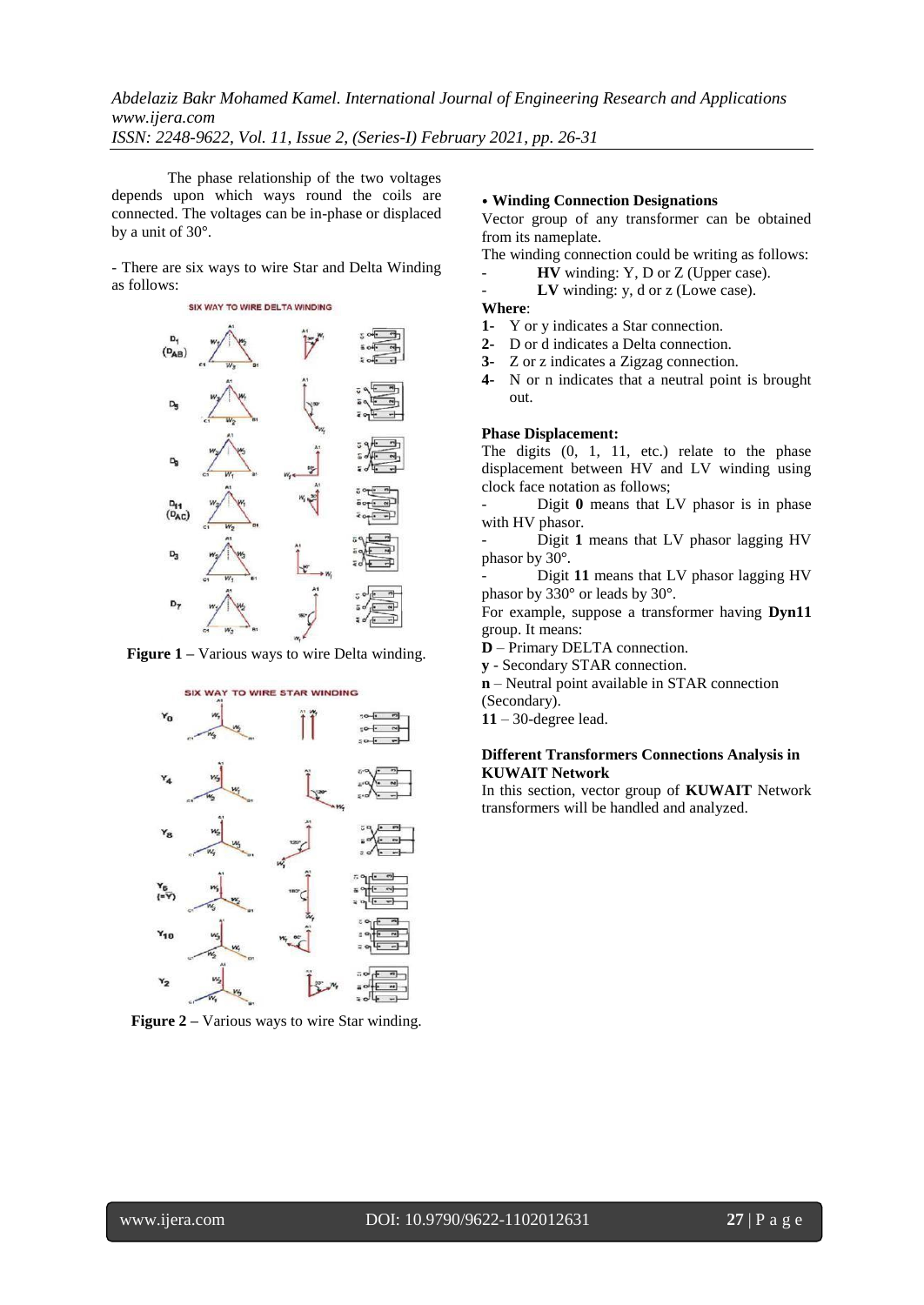The phase relationship of the two voltages depends upon which ways round the coils are connected. The voltages can be in-phase or displaced by a unit of 30°.

- There are six ways to wire Star and Delta Winding as follows:



**Figure 1 –** Various ways to wire Delta winding.



**Figure 2 –** Various ways to wire Star winding.

## • **Winding Connection Designations**

Vector group of any transformer can be obtained from its nameplate.

The winding connection could be writing as follows:

- **HV** winding: Y, D or Z (Upper case).
- LV winding: y, d or z (Lowe case).

### **Where**:

- **1-** Y or y indicates a Star connection.
- **2-** D or d indicates a Delta connection.
- **3-** Z or z indicates a Zigzag connection.
- **4-** N or n indicates that a neutral point is brought out.

### **Phase Displacement:**

The digits  $(0, 1, 11, etc.)$  relate to the phase displacement between HV and LV winding using clock face notation as follows;

Digit 0 means that LV phasor is in phase with HV phasor.

- Digit **1** means that LV phasor lagging HV phasor by 30°.

- Digit **11** means that LV phasor lagging HV phasor by 330° or leads by 30°.

For example, suppose a transformer having **Dyn11** group. It means:

- **D** Primary DELTA connection.
- **y** Secondary STAR connection.
- **n** Neutral point available in STAR connection
- (Secondary).
- **11** 30-degree lead.

## **Different Transformers Connections Analysis in KUWAIT Network**

In this section, vector group of **KUWAIT** Network transformers will be handled and analyzed.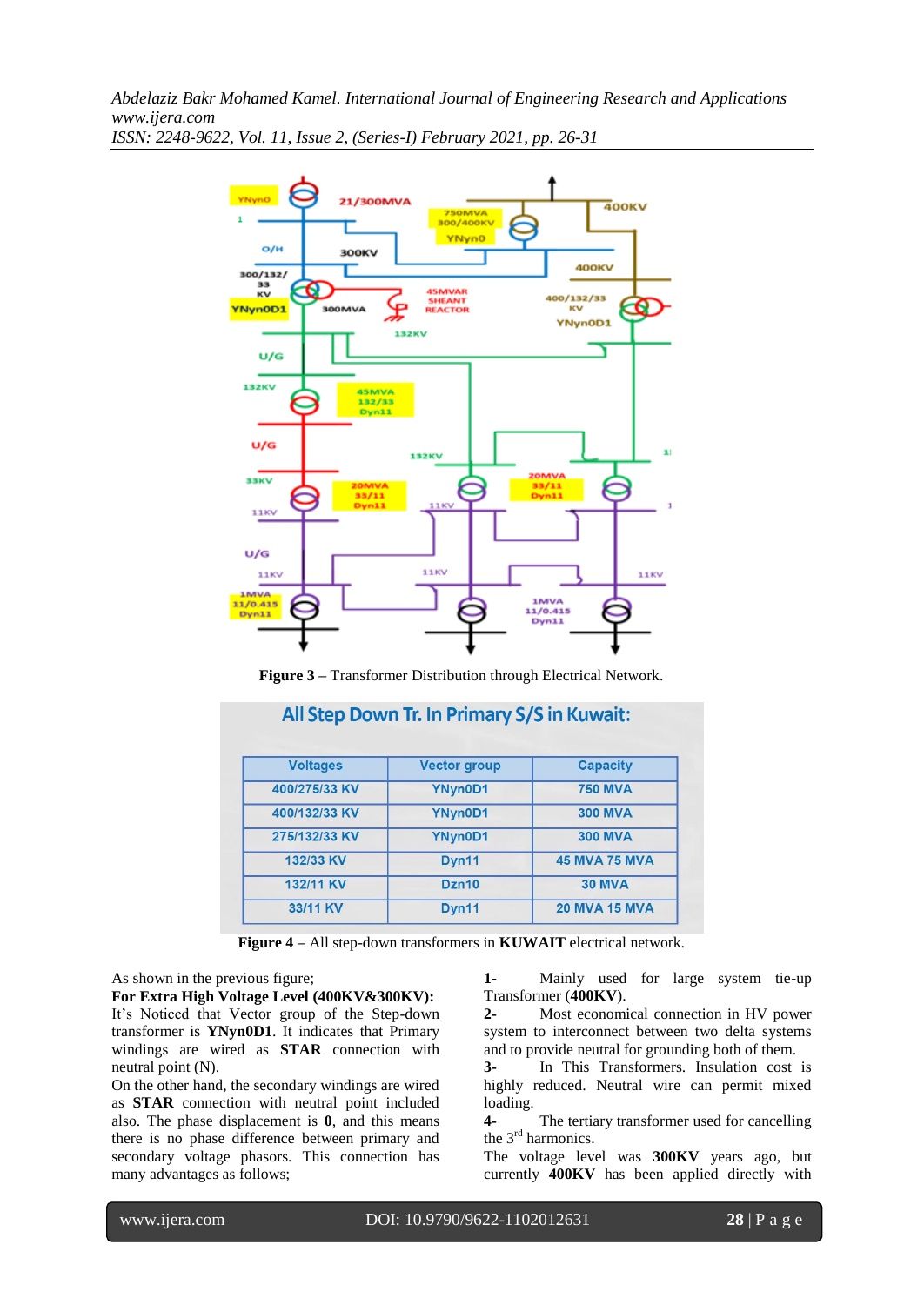*Abdelaziz Bakr Mohamed Kamel. International Journal of Engineering Research and Applications www.ijera.com*



*ISSN: 2248-9622, Vol. 11, Issue 2, (Series-I) February 2021, pp. 26-31*

**Figure 3 –** Transformer Distribution through Electrical Network.

| <b>Voltages</b> | <b>Vector group</b> | <b>Capacity</b>      |
|-----------------|---------------------|----------------------|
| 400/275/33 KV   | YNyn0D1             | <b>750 MVA</b>       |
| 400/132/33 KV   | YNyn0D1             | <b>300 MVA</b>       |
| 275/132/33 KV   | YNyn0D1             | <b>300 MVA</b>       |
| 132/33 KV       | Dyn11               | <b>45 MVA 75 MVA</b> |
| 132/11 KV       | Dzn10               | <b>30 MVA</b>        |
| 33/11 KV        | Dyn11               | <b>20 MVA 15 MVA</b> |

**Figure 4 –** All step-down transformers in **KUWAIT** electrical network.

As shown in the previous figure;

**For Extra High Voltage Level (400KV&300KV):**  It's Noticed that Vector group of the Step-down transformer is **YNyn0D1**. It indicates that Primary windings are wired as **STAR** connection with neutral point (N).

On the other hand, the secondary windings are wired as **STAR** connection with neutral point included also. The phase displacement is **0**, and this means there is no phase difference between primary and secondary voltage phasors. This connection has many advantages as follows;

**1-** Mainly used for large system tie-up Transformer (**400KV**).

**2-** Most economical connection in HV power system to interconnect between two delta systems and to provide neutral for grounding both of them.

**3-** In This Transformers. Insulation cost is highly reduced. Neutral wire can permit mixed loading.

**4-** The tertiary transformer used for cancelling the 3<sup>rd</sup> harmonics.

The voltage level was **300KV** years ago, but currently **400KV** has been applied directly with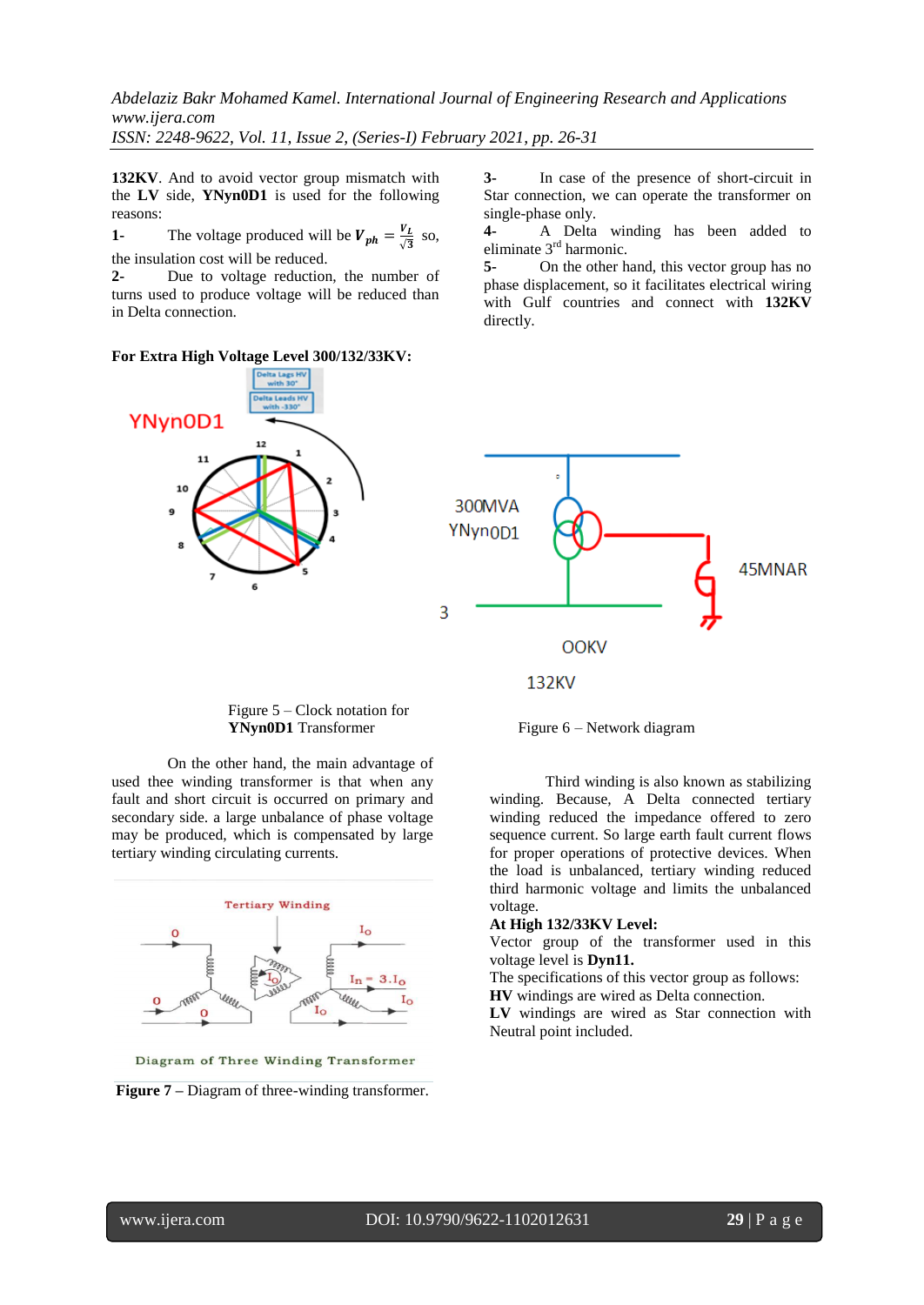**132KV**. And to avoid vector group mismatch with the **LV** side, **YNyn0D1** is used for the following reasons:

**1-** The voltage produced will be  $V_{ph} = \frac{V_L}{\sqrt{3}}$  $\frac{V}{\sqrt{3}}$  so, the insulation cost will be reduced.

**2-** Due to voltage reduction, the number of turns used to produce voltage will be reduced than in Delta connection.

**For Extra High Voltage Level 300/132/33KV:** 



**3-** In case of the presence of short-circuit in Star connection, we can operate the transformer on single-phase only.

**4-** A Delta winding has been added to eliminate 3rd harmonic.

**5-** On the other hand, this vector group has no phase displacement, so it facilitates electrical wiring with Gulf countries and connect with **132KV** directly.



 Figure 5 – Clock notation for **YNyn0D1** Transformer Figure 6 – Network diagram

On the other hand, the main advantage of used thee winding transformer is that when any fault and short circuit is occurred on primary and secondary side. a large unbalance of phase voltage may be produced, which is compensated by large tertiary winding circulating currents.



Diagram of Three Winding Transformer

**Figure 7 –** Diagram of three-winding transformer.

Third winding is also known as stabilizing winding. Because, A Delta connected tertiary winding reduced the impedance offered to zero sequence current. So large earth fault current flows for proper operations of protective devices. When the load is unbalanced, tertiary winding reduced third harmonic voltage and limits the unbalanced voltage.

## **At High 132/33KV Level:**

Vector group of the transformer used in this voltage level is **Dyn11.**

The specifications of this vector group as follows:

**HV** windings are wired as Delta connection.

**LV** windings are wired as Star connection with Neutral point included.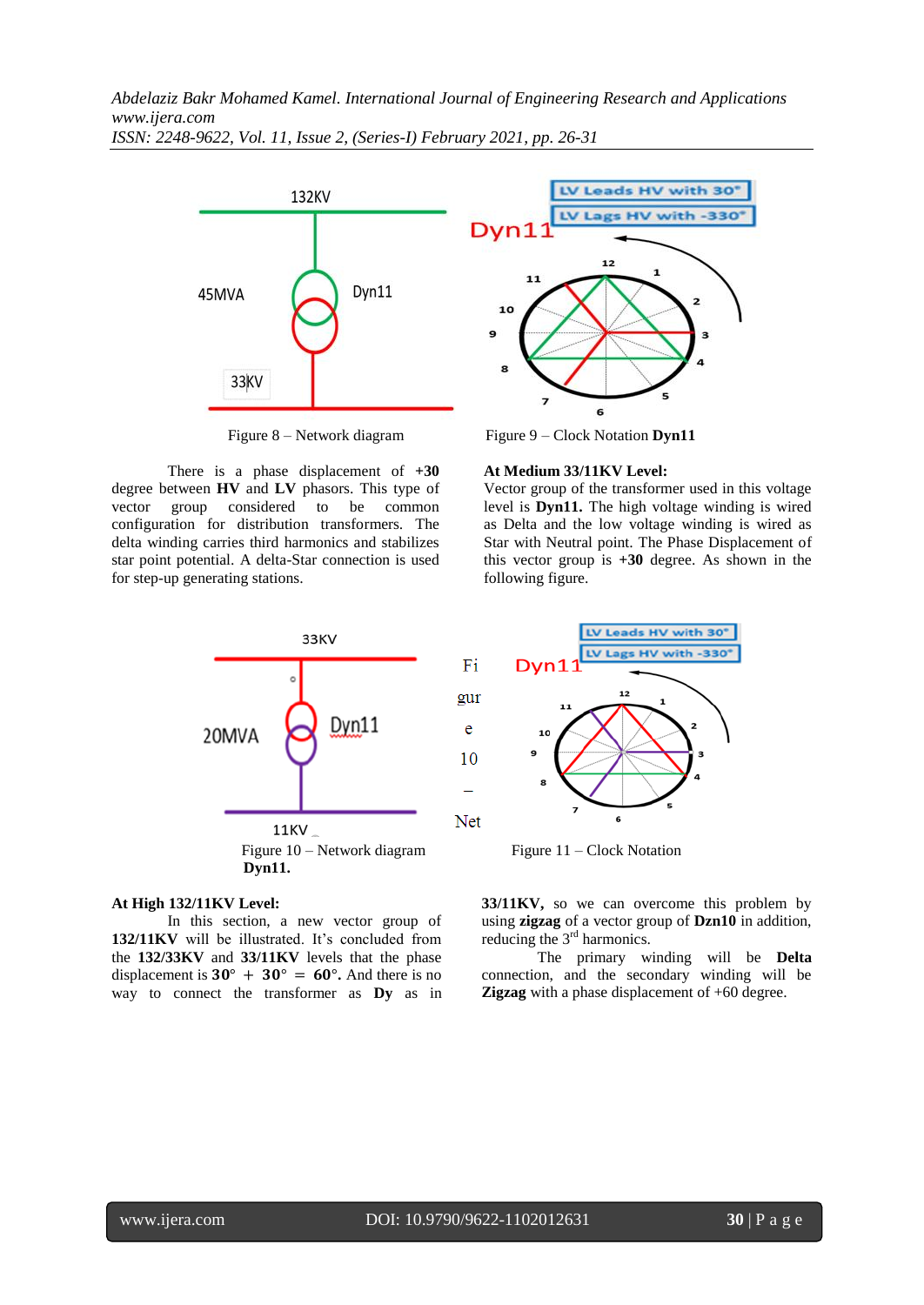

There is a phase displacement of **+30** degree between **HV** and **LV** phasors. This type of vector group considered to be common configuration for distribution transformers. The delta winding carries third harmonics and stabilizes star point potential. A delta-Star connection is used for step-up generating stations.



### **At Medium 33/11KV Level:**

Vector group of the transformer used in this voltage level is **Dyn11.** The high voltage winding is wired as Delta and the low voltage winding is wired as Star with Neutral point. The Phase Displacement of this vector group is **+30** degree. As shown in the following figure.



#### **At High 132/11KV Level:**

In this section, a new vector group of 132/11KV will be illustrated. It's concluded from the **132/33KV** and **33/11KV** levels that the phase displacement is  $30^{\circ} + 30^{\circ} = 60^{\circ}$ . And there is no way to connect the transformer as **Dy** as in



**33/11KV,** so we can overcome this problem by using **zigzag** of a vector group of **Dzn10** in addition, reducing the 3<sup>rd</sup> harmonics.

The primary winding will be **Delta** connection, and the secondary winding will be **Zigzag** with a phase displacement of  $+60$  degree.